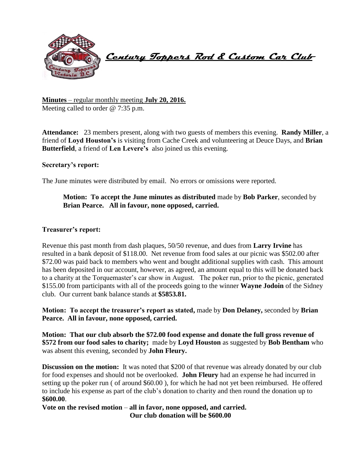

 **Century Toppers Rod & Custom Car Club** 

**Minutes** – regular monthly meeting **July 20, 2016.** Meeting called to order @ 7:35 p.m.

**Attendance:** 23 members present, along with two guests of members this evening. **Randy Miller**, a friend of **Loyd Houston's** is visiting from Cache Creek and volunteering at Deuce Days, and **Brian Butterfield**, a friend of **Len Levere's** also joined us this evening.

### **Secretary's report:**

The June minutes were distributed by email. No errors or omissions were reported.

**Motion: To accept the June minutes as distributed** made by **Bob Parker**, seconded by **Brian Pearce. All in favour, none opposed, carried.**

#### **Treasurer's report:**

Revenue this past month from dash plaques, 50/50 revenue, and dues from **Larry Irvine** has resulted in a bank deposit of \$118.00. Net revenue from food sales at our picnic was \$502.00 after \$72.00 was paid back to members who went and bought additional supplies with cash. This amount has been deposited in our account, however, as agreed, an amount equal to this will be donated back to a charity at the Torquemaster's car show in August. The poker run, prior to the picnic, generated \$155.00 from participants with all of the proceeds going to the winner **Wayne Jodoin** of the Sidney club. Our current bank balance stands at **\$5853.81.**

**Motion: To accept the treasurer's report as stated,** made by **Don Delaney,** seconded by **Brian Pearce. All in favour, none opposed, carried.**

**Motion: That our club absorb the \$72.00 food expense and donate the full gross revenue of \$572 from our food sales to charity;** made by **Loyd Houston** as suggested by **Bob Bentham** who was absent this evening, seconded by **John Fleury.**

**Discussion on the motion:** It was noted that \$200 of that revenue was already donated by our club for food expenses and should not be overlooked. **John Fleury** had an expense he had incurred in setting up the poker run ( of around \$60.00 ), for which he had not yet been reimbursed. He offered to include his expense as part of the club's donation to charity and then round the donation up to **\$600.00**.

**Vote on the revised motion** – **all in favor, none opposed, and carried. Our club donation will be \$600.00**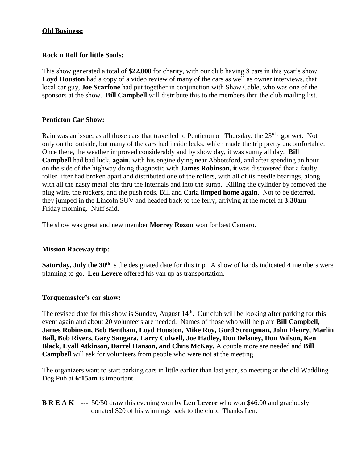## **Old Business:**

## **Rock n Roll for little Souls:**

This show generated a total of **\$22,000** for charity, with our club having 8 cars in this year's show. Loyd Houston had a copy of a video review of many of the cars as well as owner interviews, that local car guy, **Joe Scarfone** had put together in conjunction with Shaw Cable, who was one of the sponsors at the show. **Bill Campbell** will distribute this to the members thru the club mailing list.

## **Penticton Car Show:**

Rain was an issue, as all those cars that travelled to Penticton on Thursday, the 23<sup>rd,</sup> got wet. Not only on the outside, but many of the cars had inside leaks, which made the trip pretty uncomfortable. Once there, the weather improved considerably and by show day, it was sunny all day. **Bill Campbell** had bad luck, **again**, with his engine dying near Abbotsford, and after spending an hour on the side of the highway doing diagnostic with **James Robinson, i**t was discovered that a faulty roller lifter had broken apart and distributed one of the rollers, with all of its needle bearings, along with all the nasty metal bits thru the internals and into the sump. Killing the cylinder by removed the plug wire, the rockers, and the push rods, Bill and Carla **limped home again**. Not to be deterred, they jumped in the Lincoln SUV and headed back to the ferry, arriving at the motel at **3:30am** Friday morning. Nuff said.

The show was great and new member **Morrey Rozon** won for best Camaro.

### **Mission Raceway trip:**

**Saturday, July the 30<sup>th</sup>** is the designated date for this trip. A show of hands indicated 4 members were planning to go. **Len Levere** offered his van up as transportation.

### **Torquemaster's car show:**

The revised date for this show is Sunday, August  $14<sup>th</sup>$ . Our club will be looking after parking for this event again and about 20 volunteers are needed. Names of those who will help are **Bill Campbell, James Robinson, Bob Bentham, Loyd Houston, Mike Roy, Gord Strongman, John Fleury, Marlin Ball, Bob Rivers, Gary Sangara, Larry Colwell, Joe Hadley, Don Delaney, Don Wilson, Ken Black, Lyall Atkinson, Darrel Hanson, and Chris McKay.** A couple more are needed and **Bill Campbell** will ask for volunteers from people who were not at the meeting.

The organizers want to start parking cars in little earlier than last year, so meeting at the old Waddling Dog Pub at **6:15am** is important.

**B R E A K ---** 50/50 draw this evening won by **Len Levere** who won \$46.00 and graciously donated \$20 of his winnings back to the club. Thanks Len.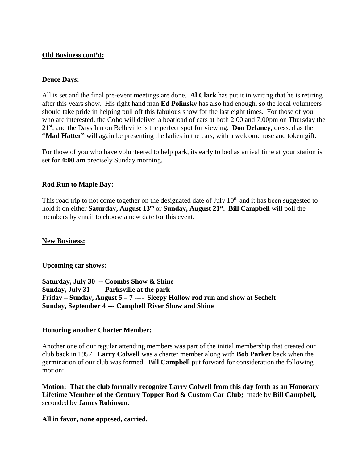### **Old Business cont'd:**

### **Deuce Days:**

All is set and the final pre-event meetings are done. **Al Clark** has put it in writing that he is retiring after this years show. His right hand man **Ed Polinsky** has also had enough, so the local volunteers should take pride in helping pull off this fabulous show for the last eight times. For those of you who are interested, the Coho will deliver a boatload of cars at both 2:00 and 7:00pm on Thursday the 21st, and the Days Inn on Belleville is the perfect spot for viewing. **Don Delaney,** dressed as the **"Mad Hatter"** will again be presenting the ladies in the cars, with a welcome rose and token gift.

For those of you who have volunteered to help park, its early to bed as arrival time at your station is set for **4:00 am** precisely Sunday morning.

## **Rod Run to Maple Bay:**

This road trip to not come together on the designated date of July  $10<sup>th</sup>$  and it has been suggested to hold it on either **Saturday, August 13th** or **Sunday, August 21st. Bill Campbell** will poll the members by email to choose a new date for this event.

### **New Business:**

**Upcoming car shows:**

**Saturday, July 30 -- Coombs Show & Shine Sunday, July 31 ----- Parksville at the park Friday – Sunday, August 5 – 7 ---- Sleepy Hollow rod run and show at Sechelt Sunday, September 4 --- Campbell River Show and Shine**

### **Honoring another Charter Member:**

Another one of our regular attending members was part of the initial membership that created our club back in 1957. **Larry Colwell** was a charter member along with **Bob Parker** back when the germination of our club was formed. **Bill Campbell** put forward for consideration the following motion:

**Motion: That the club formally recognize Larry Colwell from this day forth as an Honorary Lifetime Member of the Century Topper Rod & Custom Car Club;** made by **Bill Campbell,** seconded by **James Robinson.**

**All in favor, none opposed, carried.**